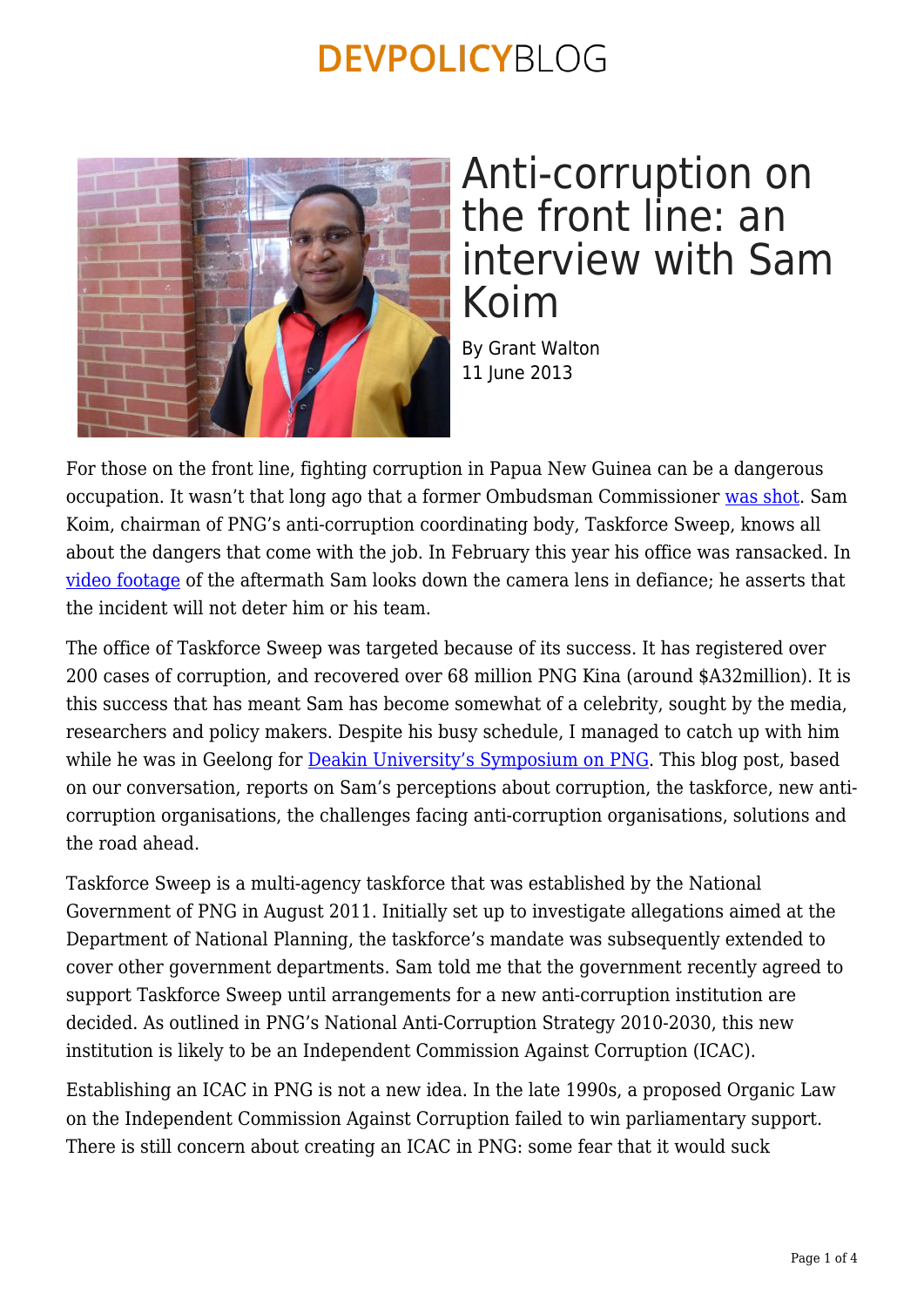

### Anti-corruption on the front line: an interview with Sam Koim

By Grant Walton 11 June 2013

For those on the front line, fighting corruption in Papua New Guinea can be a dangerous occupation. It wasn't that long ago that a former Ombudsman Commissioner [was shot](http://www.rnzi.com/pages/news.php?op=read&id=50974). Sam Koim, chairman of PNG's anti-corruption coordinating body, Taskforce Sweep, knows all about the dangers that come with the job. In February this year his office was ransacked. In [video footage](http://www.youtube.com/watch?v=DfpWMIYmBfc) of the aftermath Sam looks down the camera lens in defiance; he asserts that the incident will not deter him or his team.

The office of Taskforce Sweep was targeted because of its success. It has registered over 200 cases of corruption, and recovered over 68 million PNG Kina (around \$A32million). It is this success that has meant Sam has become somewhat of a celebrity, sought by the media, researchers and policy makers. Despite his busy schedule, I managed to catch up with him while he was in Geelong for [Deakin University's Symposium on PNG](https://devpolicy.org/leadership-for-the-next-generation-deakin-universitys-symposium-on-png-2013042/). This blog post, based on our conversation, reports on Sam's perceptions about corruption, the taskforce, new anticorruption organisations, the challenges facing anti-corruption organisations, solutions and the road ahead.

Taskforce Sweep is a multi-agency taskforce that was established by the National Government of PNG in August 2011. Initially set up to investigate allegations aimed at the Department of National Planning, the taskforce's mandate was subsequently extended to cover other government departments. Sam told me that the government recently agreed to support Taskforce Sweep until arrangements for a new anti-corruption institution are decided. As outlined in PNG's National Anti-Corruption Strategy 2010-2030, this new institution is likely to be an Independent Commission Against Corruption (ICAC).

Establishing an ICAC in PNG is not a new idea. In the late 1990s, a proposed Organic Law on the Independent Commission Against Corruption failed to win parliamentary support. There is still concern about creating an ICAC in PNG: some fear that it would suck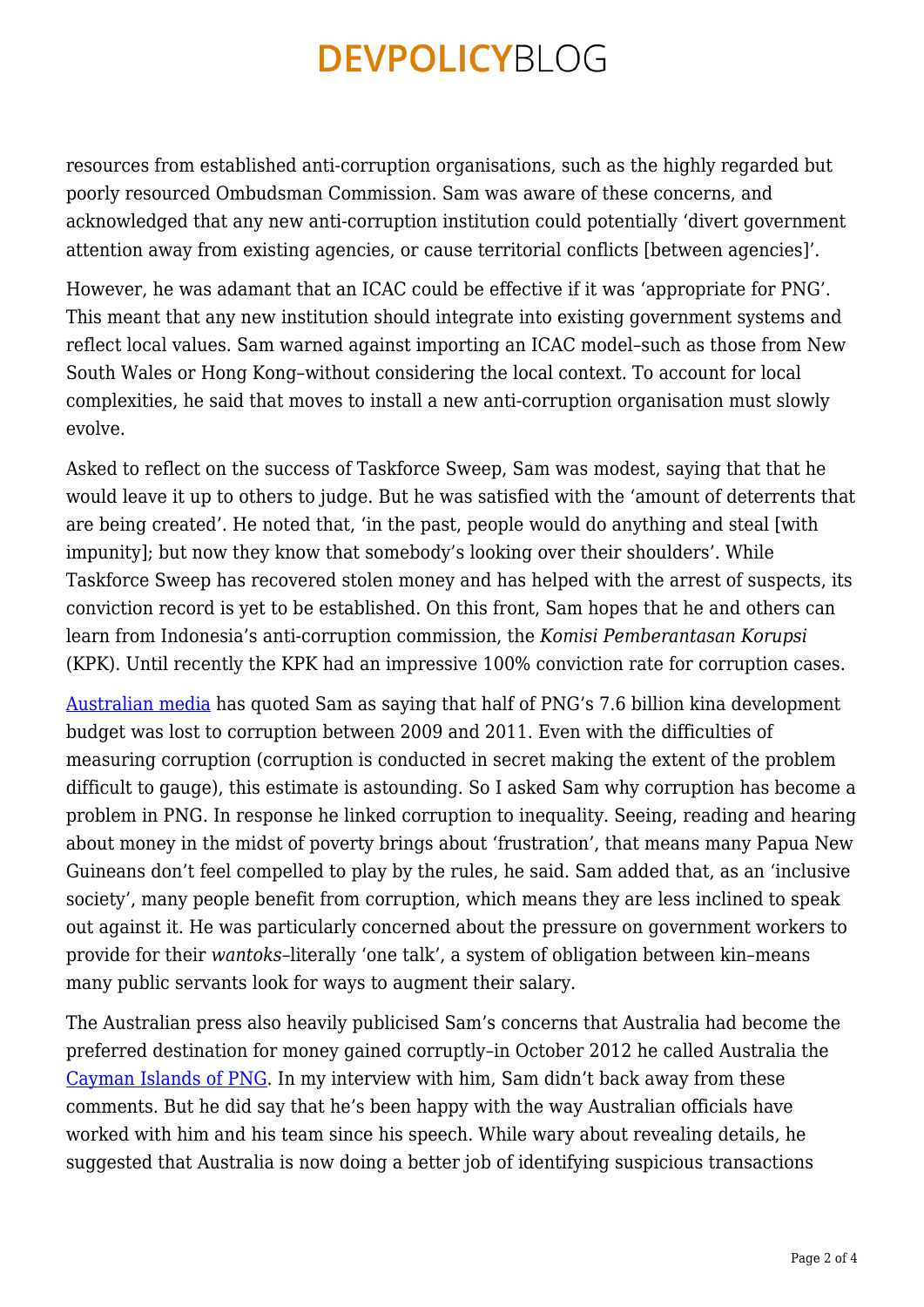resources from established anti-corruption organisations, such as the highly regarded but poorly resourced Ombudsman Commission. Sam was aware of these concerns, and acknowledged that any new anti-corruption institution could potentially 'divert government attention away from existing agencies, or cause territorial conflicts [between agencies]'.

However, he was adamant that an ICAC could be effective if it was 'appropriate for PNG'. This meant that any new institution should integrate into existing government systems and reflect local values. Sam warned against importing an ICAC model–such as those from New South Wales or Hong Kong–without considering the local context. To account for local complexities, he said that moves to install a new anti-corruption organisation must slowly evolve.

Asked to reflect on the success of Taskforce Sweep, Sam was modest, saying that that he would leave it up to others to judge. But he was satisfied with the 'amount of deterrents that are being created'. He noted that, 'in the past, people would do anything and steal [with impunity]; but now they know that somebody's looking over their shoulders'. While Taskforce Sweep has recovered stolen money and has helped with the arrest of suspects, its conviction record is yet to be established. On this front, Sam hopes that he and others can learn from Indonesia's anti-corruption commission, the *Komisi Pemberantasan Korupsi* (KPK). Until recently the KPK had an impressive 100% conviction rate for corruption cases.

[Australian media](http://www.heraldsun.com.au/news/breaking-news/png-people-lose-billions-to-corruption/story-e6frf7k6-1226490693815) has quoted Sam as saying that half of PNG's 7.6 billion kina development budget was lost to corruption between 2009 and 2011. Even with the difficulties of measuring corruption (corruption is conducted in secret making the extent of the problem difficult to gauge), this estimate is astounding. So I asked Sam why corruption has become a problem in PNG. In response he linked corruption to inequality. Seeing, reading and hearing about money in the midst of poverty brings about 'frustration', that means many Papua New Guineans don't feel compelled to play by the rules, he said. Sam added that, as an 'inclusive society', many people benefit from corruption, which means they are less inclined to speak out against it. He was particularly concerned about the pressure on government workers to provide for their *wantoks*–literally 'one talk', a system of obligation between kin–means many public servants look for ways to augment their salary.

The Australian press also heavily publicised Sam's concerns that Australia had become the preferred destination for money gained corruptly–in October 2012 he called Australia the [Cayman Islands of PNG](http://www.postcourier.com.pg/20121008/news.htm). In my interview with him, Sam didn't back away from these comments. But he did say that he's been happy with the way Australian officials have worked with him and his team since his speech. While wary about revealing details, he suggested that Australia is now doing a better job of identifying suspicious transactions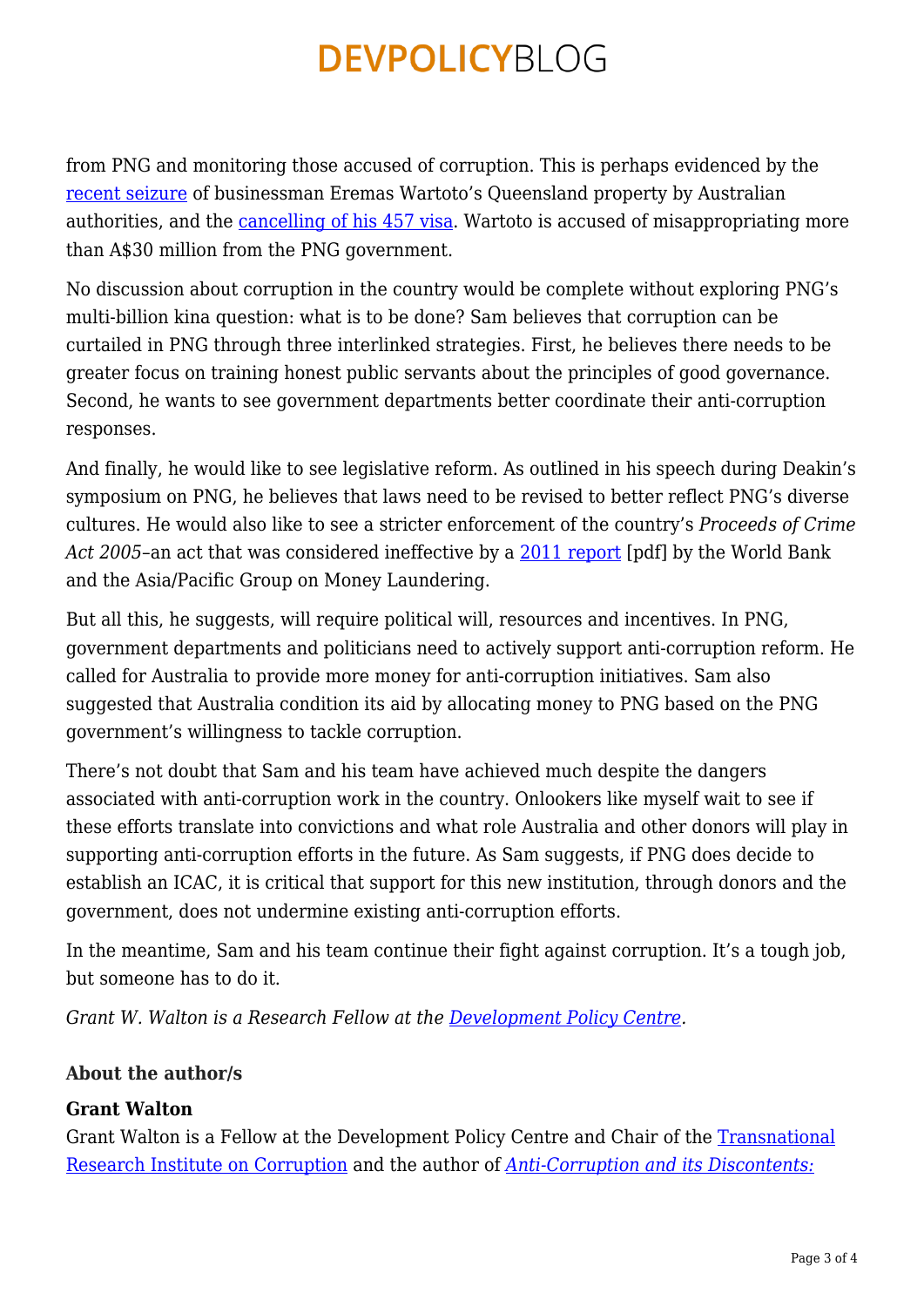from PNG and monitoring those accused of corruption. This is perhaps evidenced by the [recent seizure](http://www.theaustralian.com.au/news/nation/police-seize-assets-of-pngs-most-wanted-man-eremas-wartoto/story-e6frg6nf-1226641918552) of businessman Eremas Wartoto's Queensland property by Australian authorities, and the [cancelling of his 457 visa](http://www.islandsbusiness.com/news/australia/1257/carr-cancels-457-visa-of-pngs-most-wanted-man/). Wartoto is accused of misappropriating more than A\$30 million from the PNG government.

No discussion about corruption in the country would be complete without exploring PNG's multi-billion kina question: what is to be done? Sam believes that corruption can be curtailed in PNG through three interlinked strategies. First, he believes there needs to be greater focus on training honest public servants about the principles of good governance. Second, he wants to see government departments better coordinate their anti-corruption responses.

And finally, he would like to see legislative reform. As outlined in his speech during Deakin's symposium on PNG, he believes that laws need to be revised to better reflect PNG's diverse cultures. He would also like to see a stricter enforcement of the country's *Proceeds of Crime Act 2005*–an act that was considered ineffective by a [2011 report](http://www.apgml.org/documents/docs/17/PNG%20MER_July%202011.pdf) [pdf] by the World Bank and the Asia/Pacific Group on Money Laundering.

But all this, he suggests, will require political will, resources and incentives. In PNG, government departments and politicians need to actively support anti-corruption reform. He called for Australia to provide more money for anti-corruption initiatives. Sam also suggested that Australia condition its aid by allocating money to PNG based on the PNG government's willingness to tackle corruption.

There's not doubt that Sam and his team have achieved much despite the dangers associated with anti-corruption work in the country. Onlookers like myself wait to see if these efforts translate into convictions and what role Australia and other donors will play in supporting anti-corruption efforts in the future. As Sam suggests, if PNG does decide to establish an ICAC, it is critical that support for this new institution, through donors and the government, does not undermine existing anti-corruption efforts.

In the meantime, Sam and his team continue their fight against corruption. It's a tough job, but someone has to do it.

*Grant W. Walton is a Research Fellow at the [Development Policy Centre](http://devpolicy.anu.edu.au/).*

#### **About the author/s**

#### **Grant Walton**

Grant Walton is a Fellow at the Development Policy Centre and Chair of the [Transnational](https://tric.crawford.anu.edu.au/) [Research Institute on Corruption](https://tric.crawford.anu.edu.au/) and the author of *[Anti-Corruption and its Discontents:](https://www.routledge.com/Anti-Corruption-and-its-Discontents-Local-National-and-International-Perspectives/Walton/p/book/9780367245221)*